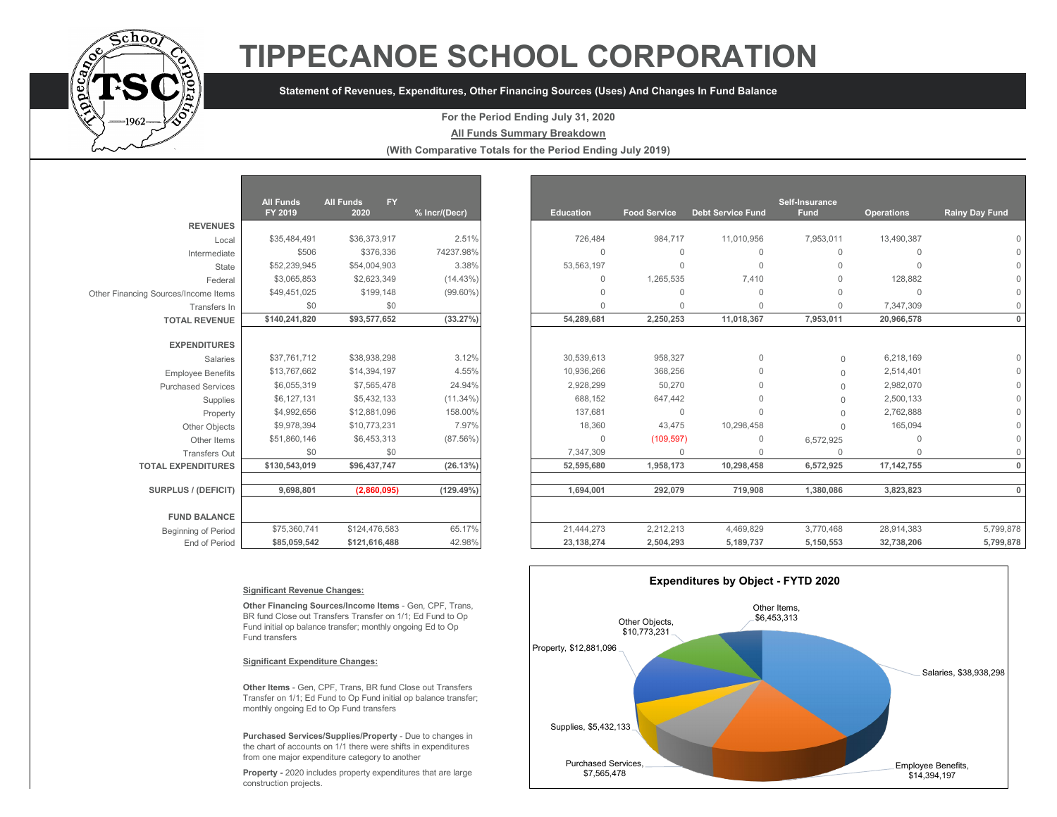

# **TIPPECANOE SCHOOL CORPORATION**

## **Statement of Revenues, Expenditures, Other Financing Sources (Uses) And Changes In Fund Balance**

### **For the Period Ending July 31, 2020**

**All Funds Summary Breakdown**

**(With Comparative Totals for the Period Ending July 2019)**

|                                      | <b>All Funds</b> | <b>All Funds</b><br><b>FY</b> |               |
|--------------------------------------|------------------|-------------------------------|---------------|
|                                      | FY 2019          | 2020                          | % Incr/(Decr) |
| <b>REVENUES</b>                      |                  |                               |               |
| Local                                | \$35,484,491     | \$36,373,917                  | 2.51%         |
| Intermediate                         | \$506            | \$376,336                     | 74237.98%     |
| State                                | \$52,239,945     | \$54,004.903                  | 3.38%         |
| Federal                              | \$3,065,853      | \$2,623,349                   | (14.43%)      |
| Other Financing Sources/Income Items | \$49,451,025     | \$199,148                     | $(99.60\%)$   |
| Transfers In                         | \$0              | \$0                           |               |
| <b>TOTAL REVENUE</b>                 | \$140,241,820    | \$93,577,652                  | (33.27%)      |
|                                      |                  |                               |               |
| <b>EXPENDITURES</b>                  |                  |                               |               |
| Salaries                             | \$37,761,712     | \$38,938,298                  | 3.12%         |
| <b>Employee Benefits</b>             | \$13,767,662     | \$14,394,197                  | 4.55%         |
| <b>Purchased Services</b>            | \$6,055,319      | \$7,565,478                   | 24.94%        |
| Supplies                             | \$6,127,131      | \$5,432,133                   | $(11.34\%)$   |
| Property                             | \$4,992,656      | \$12,881,096                  | 158.00%       |
| Other Objects                        | \$9,978,394      | \$10,773,231                  | 7.97%         |
| Other Items                          | \$51,860,146     | \$6,453,313                   | $(87.56\%)$   |
| <b>Transfers Out</b>                 | \$0              | \$0                           |               |
| <b>TOTAL EXPENDITURES</b>            | \$130,543,019    | \$96,437,747                  | (26.13%)      |
|                                      |                  |                               |               |
| <b>SURPLUS / (DEFICIT)</b>           | 9,698,801        | (2,860,095)                   | $(129.49\%)$  |
| <b>FUND BALANCE</b>                  |                  |                               |               |
| <b>Beginning of Period</b>           | \$75,360,741     | \$124,476,583                 | 65.17%        |
| End of Period                        | \$85,059,542     | \$121,616,488                 | 42.98%        |

|                                      | <b>All Funds</b><br>FY 2019 | <b>FY</b><br><b>All Funds</b><br>2020 | % Incr/(Decr) |
|--------------------------------------|-----------------------------|---------------------------------------|---------------|
| <b>REVENUES</b>                      |                             |                                       |               |
| Local                                | \$35,484,491                | \$36,373,917                          | 2.51%         |
| Intermediate                         | \$506                       | \$376,336                             | 74237.98%     |
| State                                | \$52,239,945                | \$54,004,903                          | 3.38%         |
| Federal                              | \$3,065,853                 | \$2,623,349                           | (14.43%)      |
| Other Financing Sources/Income Items | \$49,451,025                | \$199,148                             | $(99.60\%)$   |
| Transfers In                         | \$0                         | \$0                                   |               |
| <b>TOTAL REVENUE</b>                 | \$140,241,820               | \$93,577,652                          | (33.27%)      |
|                                      |                             |                                       |               |
| <b>EXPENDITURES</b>                  |                             |                                       |               |
| <b>Salaries</b>                      | \$37,761,712                | \$38,938,298                          | 3.12%         |
| <b>Employee Benefits</b>             | \$13,767,662                | \$14,394,197                          | 4.55%         |
| <b>Purchased Services</b>            | \$6,055,319                 | \$7,565,478                           | 24.94%        |
| Supplies                             | \$6,127,131                 | \$5,432,133                           | $(11.34\%)$   |
| Property                             | \$4,992,656                 | \$12,881,096                          | 158.00%       |
| Other Objects                        | \$9,978,394                 | \$10,773,231                          | 7.97%         |
| Other Items                          | \$51,860,146                | \$6,453,313                           | $(87.56\%)$   |
| <b>Transfers Out</b>                 | \$0                         | \$0                                   |               |
| <b>TOTAL EXPENDITURES</b>            | \$130,543,019               | \$96,437,747                          | (26.13%)      |
|                                      |                             |                                       |               |
| SURPLUS / (DEFICIT)                  | 9,698,801                   | (2,860,095)                           | $(129.49\%)$  |
| <b>FUND BALANCE</b>                  |                             |                                       |               |
| <b>Beginning of Period</b>           | \$75,360,741                | \$124,476,583                         | 65.17%        |
| End of Period                        | \$85,059,542                | \$121,616,488                         | 42.98%        |

#### **Significant Revenue Changes:**

**Other Financing Sources/Income Items** - Gen, CPF, Trans, BR fund Close out Transfers Transfer on 1/1; Ed Fund to Op Fund initial op balance transfer; monthly ongoing Ed to Op Fund transfers

#### **Significant Expenditure Changes:**

**Other Items** - Gen, CPF, Trans, BR fund Close out Transfers Transfer on 1/1; Ed Fund to Op Fund initial op balance transfer; monthly ongoing Ed to Op Fund transfers

**Purchased Services/Supplies/Property** - Due to changes in the chart of accounts on 1/1 there were shifts in expenditures from one major expenditure category to another

**Property -** 2020 includes property expenditures that are large construction projects.

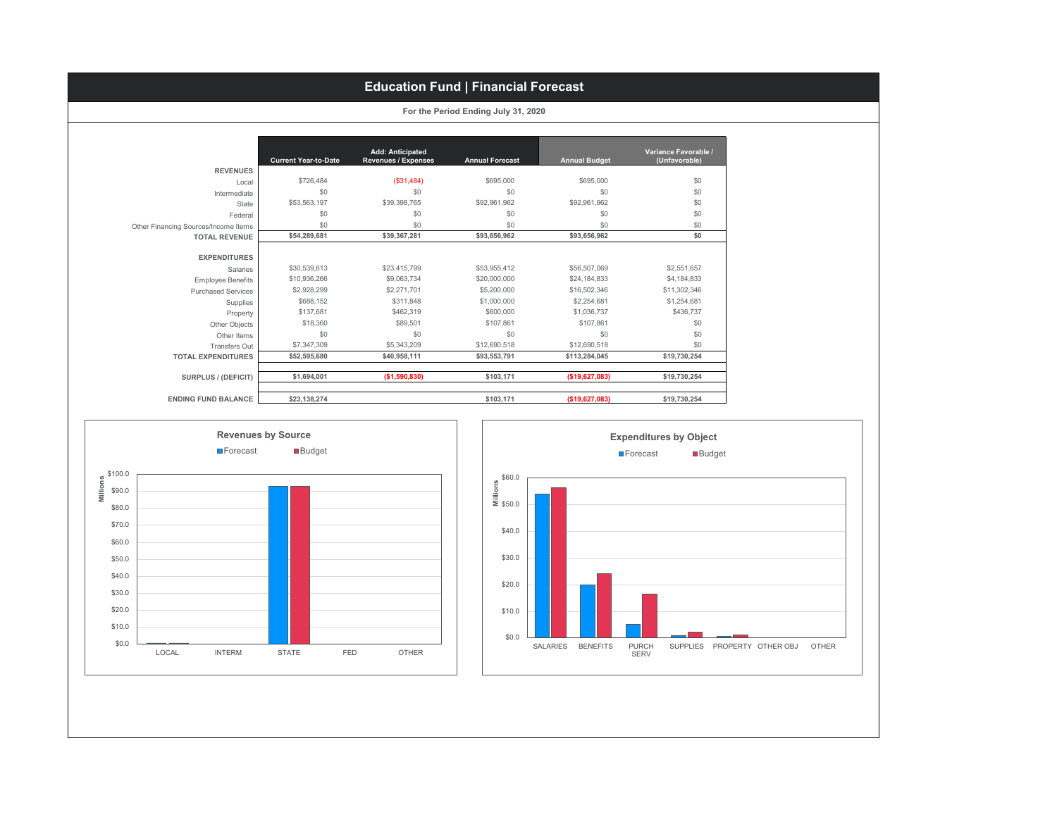## **Education Fund | Financial Forecast**

**For the Period Ending July 31, 2020**

|                                      | <b>Current Year-to-Date</b> | <b>Add: Anticipated</b><br><b>Revenues / Expenses</b> | <b>Annual Forecast</b> | <b>Annual Budget</b> | Variance Favorable /<br>(Unfavorable) |
|--------------------------------------|-----------------------------|-------------------------------------------------------|------------------------|----------------------|---------------------------------------|
| <b>REVENUES</b>                      |                             |                                                       |                        |                      |                                       |
| Local                                | \$726.484                   | ( \$31,484)                                           | \$695,000              | \$695,000            | \$0                                   |
| Intermediate                         | \$0                         | \$0                                                   | \$0                    | \$0                  | \$0                                   |
| State                                | \$53,563,197                | \$39,398,765                                          | \$92,961,962           | \$92,961,962         | \$0                                   |
| Federal                              | \$0                         | \$0                                                   | \$0                    | \$0                  | \$0                                   |
| Other Financing Sources/Income Items | \$0                         | \$0                                                   | \$0                    | \$0                  | \$0                                   |
| <b>TOTAL REVENUE</b>                 | \$54,289,681                | \$39,367,281                                          | \$93,656,962           | \$93,656,962         | \$0                                   |
|                                      |                             |                                                       |                        |                      |                                       |
| <b>EXPENDITURES</b>                  |                             |                                                       |                        |                      |                                       |
| Salaries                             | \$30,539,613                | \$23.415.799                                          | \$53,955,412           | \$56,507,069         | \$2,551,657                           |
| <b>Employee Benefits</b>             | \$10,936,266                | \$9,063,734                                           | \$20,000,000           | \$24,184,833         | \$4,184,833                           |
| <b>Purchased Services</b>            | \$2,928,299                 | \$2,271,701                                           | \$5,200,000            | \$16,502,346         | \$11,302,346                          |
| Supplies                             | \$688.152                   | \$311,848                                             | \$1,000,000            | \$2,254.681          | \$1,254,681                           |
| Property                             | \$137.681                   | \$462,319                                             | \$600,000              | \$1,036,737          | \$436,737                             |
| Other Objects                        | \$18,360                    | \$89,501                                              | \$107.861              | \$107.861            | \$0                                   |
| Other Items                          | \$0                         | \$0                                                   | \$0                    | \$0                  | \$0                                   |
| Transfers Out                        | \$7,347,309                 | \$5,343,209                                           | \$12,690,518           | \$12,690.518         | \$0                                   |
| <b>TOTAL EXPENDITURES</b>            | \$52,595,680                | \$40,958,111                                          | \$93,553,791           | \$113,284,045        | \$19,730,254                          |
| SURPLUS / (DEFICIT)                  | \$1,694,001                 | (\$1,590,830)                                         | \$103.171              | (\$19,627,083)       | \$19,730,254                          |
| <b>ENDING FUND BALANCE</b>           | \$23,138,274                |                                                       | \$103,171              | (\$19,627,083)       | \$19,730,254                          |



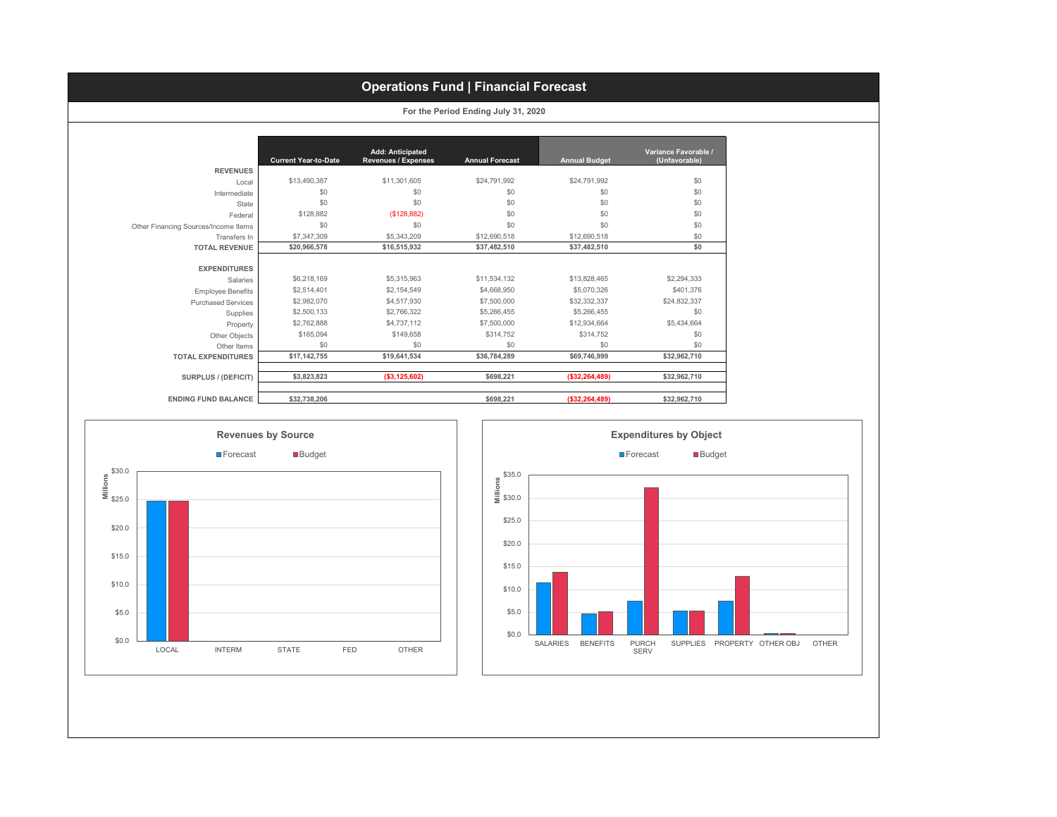# **Operations Fund | Financial Forecast**

|  |  | For the Period Ending July 31, 2020 |  |  |  |
|--|--|-------------------------------------|--|--|--|
|--|--|-------------------------------------|--|--|--|

|                                      | <b>Current Year-to-Date</b> | <b>Add: Anticipated</b><br><b>Revenues / Expenses</b> | <b>Annual Forecast</b> | <b>Annual Budget</b> | Variance Favorable /<br>(Unfavorable) |
|--------------------------------------|-----------------------------|-------------------------------------------------------|------------------------|----------------------|---------------------------------------|
| <b>REVENUES</b>                      |                             |                                                       |                        |                      |                                       |
| Local                                | \$13,490,387                | \$11,301,605                                          | \$24,791,992           | \$24,791,992         | \$0                                   |
| Intermediate                         | \$0                         | \$0                                                   | \$0                    | \$0                  | \$0                                   |
| State                                | \$0                         | \$0                                                   | \$0                    | \$0                  | \$0                                   |
| Federal                              | \$128,882                   | (\$128,882)                                           | \$0                    | \$0                  | \$0                                   |
| Other Financing Sources/Income Items | \$0                         | \$0                                                   | \$0                    | \$0                  | \$0                                   |
| Transfers In                         | \$7,347,309                 | \$5,343,209                                           | \$12,690,518           | \$12,690,518         | \$0                                   |
| <b>TOTAL REVENUE</b>                 | \$20,966,578                | \$16,515,932                                          | \$37,482,510           | \$37,482,510         | \$0                                   |
|                                      |                             |                                                       |                        |                      |                                       |
| <b>EXPENDITURES</b>                  |                             |                                                       |                        |                      |                                       |
| Salaries                             | \$6,218,169                 | \$5,315,963                                           | \$11.534.132           | \$13,828,465         | \$2,294,333                           |
| <b>Employee Benefits</b>             | \$2,514,401                 | \$2,154.549                                           | \$4,668,950            | \$5,070,326          | \$401.376                             |
| <b>Purchased Services</b>            | \$2,982,070                 | \$4,517,930                                           | \$7,500,000            | \$32,332,337         | \$24,832,337                          |
| Supplies                             | \$2,500,133                 | \$2,766,322                                           | \$5,266,455            | \$5,266,455          | \$0                                   |
| Property                             | \$2,762,888                 | \$4,737,112                                           | \$7,500,000            | \$12,934,664         | \$5,434,664                           |
| Other Objects                        | \$165,094                   | \$149,658                                             | \$314,752              | \$314.752            | \$0                                   |
| Other Items                          | \$0                         | \$0                                                   | \$0                    | \$0                  | \$0                                   |
| <b>TOTAL EXPENDITURES</b>            | \$17,142,755                | \$19,641,534                                          | \$36,784,289           | \$69,746,999         | \$32,962,710                          |
|                                      |                             |                                                       |                        |                      |                                       |
| <b>SURPLUS / (DEFICIT)</b>           | \$3,823,823                 | ( \$3, 125, 602)                                      | \$698,221              | ( \$32, 264, 489)    | \$32,962,710                          |
|                                      |                             |                                                       |                        |                      |                                       |
| <b>ENDING FUND BALANCE</b>           | \$32,738,206                |                                                       | \$698.221              | ( \$32, 264, 489)    | \$32,962,710                          |



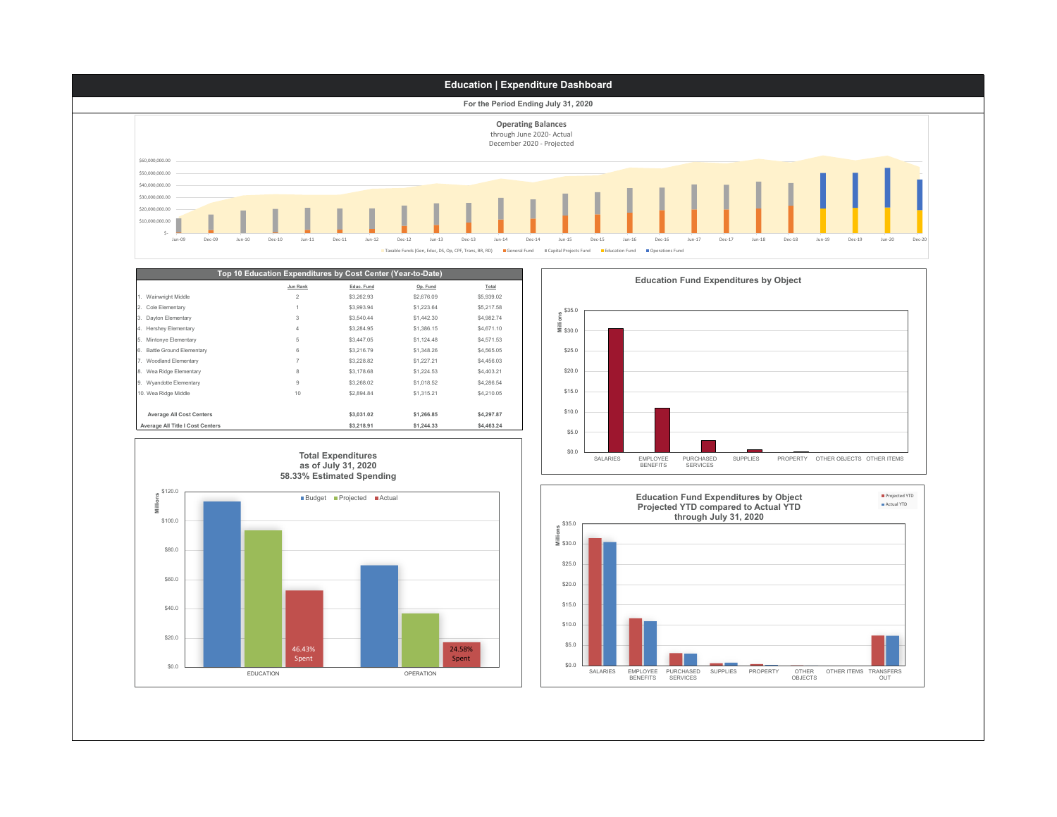

|                                  | المتباين المتحال المتحقق والمتحقق المتابعة المتابعة المتناسبة والمتحققات والمستنقطة والمتحق المتناسبة المتالين المتابا |            |            |            |
|----------------------------------|------------------------------------------------------------------------------------------------------------------------|------------|------------|------------|
|                                  | Jun Rank                                                                                                               | Educ. Fund | Op. Fund   | Total      |
| 1. Wainwright Middle             | 2                                                                                                                      | \$3,262.93 | \$2,676.09 | \$5,939.02 |
| 2. Cole Elementary               |                                                                                                                        | \$3,993.94 | \$1,223.64 | \$5,217.58 |
| 3. Dayton Elementary             | 3                                                                                                                      | \$3,540.44 | \$1,442.30 | \$4,982.74 |
| 4. Hershey Elementary            | 4                                                                                                                      | \$3,284.95 | \$1,386.15 | \$4,671.10 |
| 5. Mintonye Elementary           | 5                                                                                                                      | \$3,447.05 | \$1,124.48 | \$4,571.53 |
| 6. Battle Ground Elementary      | 6                                                                                                                      | \$3,216.79 | \$1,348.26 | \$4,565.05 |
| 7. Woodland Elementary           | 7                                                                                                                      | \$3,228.82 | \$1,227.21 | \$4,456.03 |
| 8. Wea Ridge Elementary          | 8                                                                                                                      | \$3,178.68 | \$1,224.53 | \$4,403.21 |
| 9. Wyandotte Elementary          | 9                                                                                                                      | \$3,268.02 | \$1,018.52 | \$4,286.54 |
| 10. Wea Ridge Middle             | 10                                                                                                                     | \$2,894.84 | \$1,315.21 | \$4.210.05 |
|                                  |                                                                                                                        |            |            |            |
| <b>Average All Cost Centers</b>  |                                                                                                                        | \$3,031.02 | \$1,266,85 | \$4,297.87 |
| Average All Title I Cost Centers |                                                                                                                        | \$3,218.91 | \$1,244.33 | \$4,463.24 |



\$0.0 \$5.0 \$10.0 \$15.0 \$20.0 \$25.0 \$30.0 **Millions** \$35.0 SALARIES EMPLOYEE BENEFITS PURCHASED SERVICES SUPPLIES PROPERTY OTHER OBJECTS OTHER ITEMS